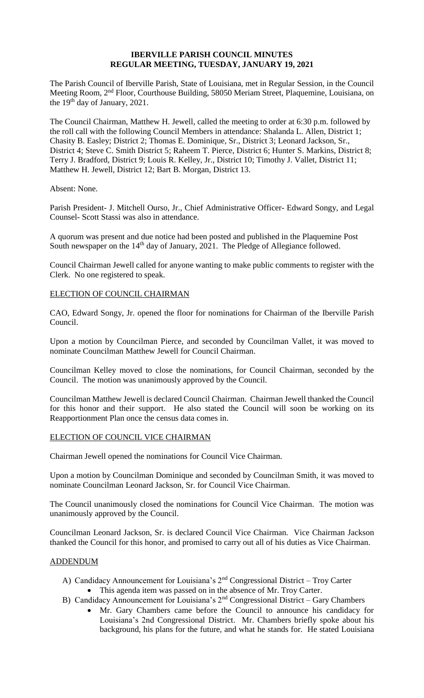## **IBERVILLE PARISH COUNCIL MINUTES REGULAR MEETING, TUESDAY, JANUARY 19, 2021**

The Parish Council of Iberville Parish, State of Louisiana, met in Regular Session, in the Council Meeting Room, 2nd Floor, Courthouse Building, 58050 Meriam Street, Plaquemine, Louisiana, on the 19<sup>th</sup> day of January, 2021.

The Council Chairman, Matthew H. Jewell, called the meeting to order at 6:30 p.m. followed by the roll call with the following Council Members in attendance: Shalanda L. Allen, District 1; Chasity B. Easley; District 2; Thomas E. Dominique, Sr., District 3; Leonard Jackson, Sr., District 4; Steve C. Smith District 5; Raheem T. Pierce, District 6; Hunter S. Markins, District 8; Terry J. Bradford, District 9; Louis R. Kelley, Jr., District 10; Timothy J. Vallet, District 11; Matthew H. Jewell, District 12; Bart B. Morgan, District 13.

Absent: None.

Parish President- J. Mitchell Ourso, Jr., Chief Administrative Officer- Edward Songy, and Legal Counsel- Scott Stassi was also in attendance.

A quorum was present and due notice had been posted and published in the Plaquemine Post South newspaper on the 14<sup>th</sup> day of January, 2021. The Pledge of Allegiance followed.

Council Chairman Jewell called for anyone wanting to make public comments to register with the Clerk. No one registered to speak.

## ELECTION OF COUNCIL CHAIRMAN

CAO, Edward Songy, Jr. opened the floor for nominations for Chairman of the Iberville Parish Council.

Upon a motion by Councilman Pierce, and seconded by Councilman Vallet, it was moved to nominate Councilman Matthew Jewell for Council Chairman.

Councilman Kelley moved to close the nominations, for Council Chairman, seconded by the Council. The motion was unanimously approved by the Council.

Councilman Matthew Jewell is declared Council Chairman. Chairman Jewell thanked the Council for this honor and their support. He also stated the Council will soon be working on its Reapportionment Plan once the census data comes in.

### ELECTION OF COUNCIL VICE CHAIRMAN

Chairman Jewell opened the nominations for Council Vice Chairman.

Upon a motion by Councilman Dominique and seconded by Councilman Smith, it was moved to nominate Councilman Leonard Jackson, Sr. for Council Vice Chairman.

The Council unanimously closed the nominations for Council Vice Chairman. The motion was unanimously approved by the Council.

Councilman Leonard Jackson, Sr. is declared Council Vice Chairman. Vice Chairman Jackson thanked the Council for this honor, and promised to carry out all of his duties as Vice Chairman.

## ADDENDUM

- A) Candidacy Announcement for Louisiana's  $2<sup>nd</sup>$  Congressional District Troy Carter • This agenda item was passed on in the absence of Mr. Troy Carter.
- B) Candidacy Announcement for Louisiana's 2<sup>nd</sup> Congressional District Gary Chambers
	- Mr. Gary Chambers came before the Council to announce his candidacy for Louisiana's 2nd Congressional District. Mr. Chambers briefly spoke about his background, his plans for the future, and what he stands for. He stated Louisiana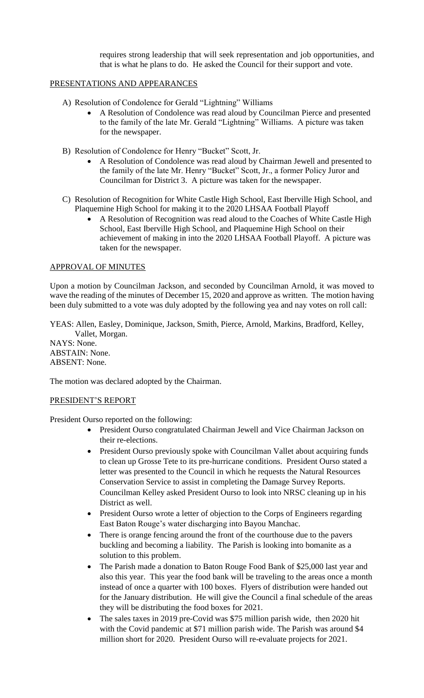requires strong leadership that will seek representation and job opportunities, and that is what he plans to do. He asked the Council for their support and vote.

## PRESENTATIONS AND APPEARANCES

- A) Resolution of Condolence for Gerald "Lightning" Williams
	- A Resolution of Condolence was read aloud by Councilman Pierce and presented to the family of the late Mr. Gerald "Lightning" Williams. A picture was taken for the newspaper.
- B) Resolution of Condolence for Henry "Bucket" Scott, Jr.
	- A Resolution of Condolence was read aloud by Chairman Jewell and presented to the family of the late Mr. Henry "Bucket" Scott, Jr., a former Policy Juror and Councilman for District 3. A picture was taken for the newspaper.
- C) Resolution of Recognition for White Castle High School, East Iberville High School, and Plaquemine High School for making it to the 2020 LHSAA Football Playoff
	- A Resolution of Recognition was read aloud to the Coaches of White Castle High School, East Iberville High School, and Plaquemine High School on their achievement of making in into the 2020 LHSAA Football Playoff. A picture was taken for the newspaper.

# APPROVAL OF MINUTES

Upon a motion by Councilman Jackson, and seconded by Councilman Arnold, it was moved to wave the reading of the minutes of December 15, 2020 and approve as written. The motion having been duly submitted to a vote was duly adopted by the following yea and nay votes on roll call:

YEAS: Allen, Easley, Dominique, Jackson, Smith, Pierce, Arnold, Markins, Bradford, Kelley, Vallet, Morgan.

NAYS: None. ABSTAIN: None. ABSENT: None.

The motion was declared adopted by the Chairman.

## PRESIDENT'S REPORT

President Ourso reported on the following:

- President Ourso congratulated Chairman Jewell and Vice Chairman Jackson on their re-elections.
- President Ourso previously spoke with Councilman Vallet about acquiring funds to clean up Grosse Tete to its pre-hurricane conditions. President Ourso stated a letter was presented to the Council in which he requests the Natural Resources Conservation Service to assist in completing the Damage Survey Reports. Councilman Kelley asked President Ourso to look into NRSC cleaning up in his District as well.
- President Ourso wrote a letter of objection to the Corps of Engineers regarding East Baton Rouge's water discharging into Bayou Manchac.
- There is orange fencing around the front of the courthouse due to the pavers buckling and becoming a liability. The Parish is looking into bomanite as a solution to this problem.
- The Parish made a donation to Baton Rouge Food Bank of \$25,000 last year and also this year. This year the food bank will be traveling to the areas once a month instead of once a quarter with 100 boxes. Flyers of distribution were handed out for the January distribution. He will give the Council a final schedule of the areas they will be distributing the food boxes for 2021.
- The sales taxes in 2019 pre-Covid was \$75 million parish wide, then 2020 hit with the Covid pandemic at \$71 million parish wide. The Parish was around \$4 million short for 2020. President Ourso will re-evaluate projects for 2021.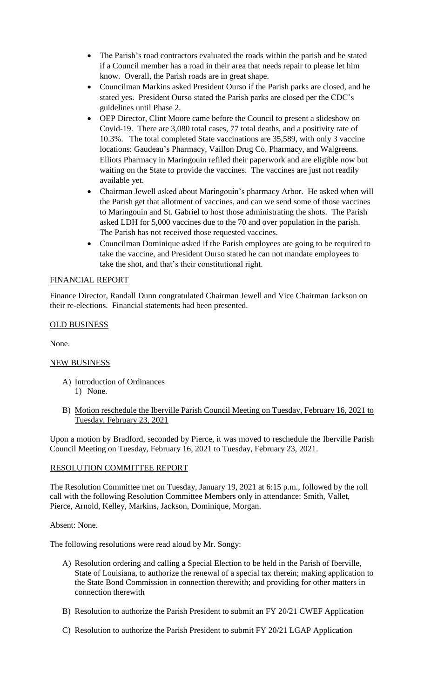- The Parish's road contractors evaluated the roads within the parish and he stated if a Council member has a road in their area that needs repair to please let him know. Overall, the Parish roads are in great shape.
- Councilman Markins asked President Ourso if the Parish parks are closed, and he stated yes. President Ourso stated the Parish parks are closed per the CDC's guidelines until Phase 2.
- OEP Director, Clint Moore came before the Council to present a slideshow on Covid-19. There are 3,080 total cases, 77 total deaths, and a positivity rate of 10.3%. The total completed State vaccinations are 35,589, with only 3 vaccine locations: Gaudeau's Pharmacy, Vaillon Drug Co. Pharmacy, and Walgreens. Elliots Pharmacy in Maringouin refiled their paperwork and are eligible now but waiting on the State to provide the vaccines. The vaccines are just not readily available yet.
- Chairman Jewell asked about Maringouin's pharmacy Arbor. He asked when will the Parish get that allotment of vaccines, and can we send some of those vaccines to Maringouin and St. Gabriel to host those administrating the shots. The Parish asked LDH for 5,000 vaccines due to the 70 and over population in the parish. The Parish has not received those requested vaccines.
- Councilman Dominique asked if the Parish employees are going to be required to take the vaccine, and President Ourso stated he can not mandate employees to take the shot, and that's their constitutional right.

# FINANCIAL REPORT

Finance Director, Randall Dunn congratulated Chairman Jewell and Vice Chairman Jackson on their re-elections. Financial statements had been presented.

## OLD BUSINESS

None.

## NEW BUSINESS

- A) Introduction of Ordinances 1) None.
- B) Motion reschedule the Iberville Parish Council Meeting on Tuesday, February 16, 2021 to Tuesday, February 23, 2021

Upon a motion by Bradford, seconded by Pierce, it was moved to reschedule the Iberville Parish Council Meeting on Tuesday, February 16, 2021 to Tuesday, February 23, 2021.

## RESOLUTION COMMITTEE REPORT

The Resolution Committee met on Tuesday, January 19, 2021 at 6:15 p.m., followed by the roll call with the following Resolution Committee Members only in attendance: Smith, Vallet, Pierce, Arnold, Kelley, Markins, Jackson, Dominique, Morgan.

## Absent: None.

The following resolutions were read aloud by Mr. Songy:

- A) Resolution ordering and calling a Special Election to be held in the Parish of Iberville, State of Louisiana, to authorize the renewal of a special tax therein; making application to the State Bond Commission in connection therewith; and providing for other matters in connection therewith
- B) Resolution to authorize the Parish President to submit an FY 20/21 CWEF Application
- C) Resolution to authorize the Parish President to submit FY 20/21 LGAP Application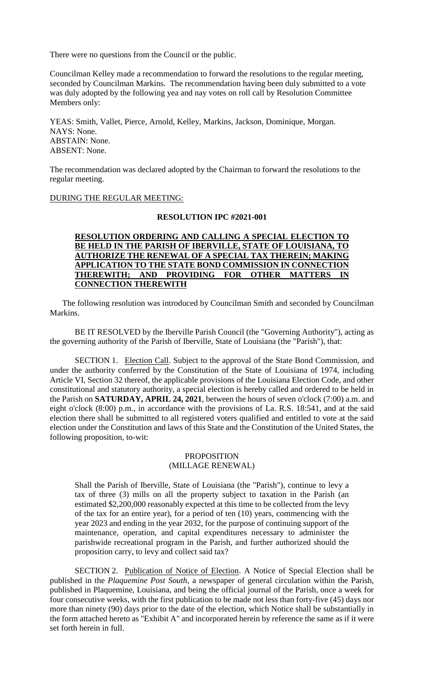There were no questions from the Council or the public.

Councilman Kelley made a recommendation to forward the resolutions to the regular meeting, seconded by Councilman Markins. The recommendation having been duly submitted to a vote was duly adopted by the following yea and nay votes on roll call by Resolution Committee Members only:

YEAS: Smith, Vallet, Pierce, Arnold, Kelley, Markins, Jackson, Dominique, Morgan. NAYS: None. ABSTAIN: None. ABSENT: None.

The recommendation was declared adopted by the Chairman to forward the resolutions to the regular meeting.

#### DURING THE REGULAR MEETING:

### **RESOLUTION IPC #2021-001**

## **RESOLUTION ORDERING AND CALLING A SPECIAL ELECTION TO BE HELD IN THE PARISH OF IBERVILLE, STATE OF LOUISIANA, TO AUTHORIZE THE RENEWAL OF A SPECIAL TAX THEREIN; MAKING APPLICATION TO THE STATE BOND COMMISSION IN CONNECTION THEREWITH; AND PROVIDING FOR OTHER MATTERS IN CONNECTION THEREWITH**

 The following resolution was introduced by Councilman Smith and seconded by Councilman Markins.

BE IT RESOLVED by the Iberville Parish Council (the "Governing Authority"), acting as the governing authority of the Parish of Iberville, State of Louisiana (the "Parish"), that:

SECTION 1. Election Call. Subject to the approval of the State Bond Commission, and under the authority conferred by the Constitution of the State of Louisiana of 1974, including Article VI, Section 32 thereof, the applicable provisions of the Louisiana Election Code, and other constitutional and statutory authority, a special election is hereby called and ordered to be held in the Parish on **SATURDAY, APRIL 24, 2021**, between the hours of seven o'clock (7:00) a.m. and eight o'clock (8:00) p.m., in accordance with the provisions of La. R.S. 18:541, and at the said election there shall be submitted to all registered voters qualified and entitled to vote at the said election under the Constitution and laws of this State and the Constitution of the United States, the following proposition, to-wit:

### PROPOSITION (MILLAGE RENEWAL)

Shall the Parish of Iberville, State of Louisiana (the "Parish"), continue to levy a tax of three (3) mills on all the property subject to taxation in the Parish (an estimated \$2,200,000 reasonably expected at this time to be collected from the levy of the tax for an entire year), for a period of ten (10) years, commencing with the year 2023 and ending in the year 2032, for the purpose of continuing support of the maintenance, operation, and capital expenditures necessary to administer the parishwide recreational program in the Parish, and further authorized should the proposition carry, to levy and collect said tax?

SECTION 2. Publication of Notice of Election. A Notice of Special Election shall be published in the *Plaquemine Post South*, a newspaper of general circulation within the Parish, published in Plaquemine, Louisiana, and being the official journal of the Parish, once a week for four consecutive weeks, with the first publication to be made not less than forty-five (45) days nor more than ninety (90) days prior to the date of the election, which Notice shall be substantially in the form attached hereto as "Exhibit A" and incorporated herein by reference the same as if it were set forth herein in full.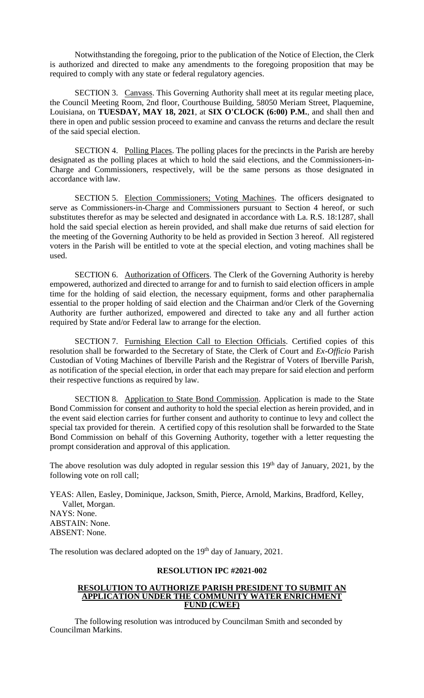Notwithstanding the foregoing, prior to the publication of the Notice of Election, the Clerk is authorized and directed to make any amendments to the foregoing proposition that may be required to comply with any state or federal regulatory agencies.

SECTION 3. Canvass. This Governing Authority shall meet at its regular meeting place, the Council Meeting Room, 2nd floor, Courthouse Building, 58050 Meriam Street, Plaquemine, Louisiana, on **TUESDAY, MAY 18, 2021**, at **SIX O'CLOCK (6:00) P.M.**, and shall then and there in open and public session proceed to examine and canvass the returns and declare the result of the said special election.

SECTION 4. Polling Places. The polling places for the precincts in the Parish are hereby designated as the polling places at which to hold the said elections, and the Commissioners-in-Charge and Commissioners, respectively, will be the same persons as those designated in accordance with law.

SECTION 5. Election Commissioners; Voting Machines. The officers designated to serve as Commissioners-in-Charge and Commissioners pursuant to Section 4 hereof, or such substitutes therefor as may be selected and designated in accordance with La. R.S. 18:1287, shall hold the said special election as herein provided, and shall make due returns of said election for the meeting of the Governing Authority to be held as provided in Section 3 hereof. All registered voters in the Parish will be entitled to vote at the special election, and voting machines shall be used.

SECTION 6. Authorization of Officers. The Clerk of the Governing Authority is hereby empowered, authorized and directed to arrange for and to furnish to said election officers in ample time for the holding of said election, the necessary equipment, forms and other paraphernalia essential to the proper holding of said election and the Chairman and/or Clerk of the Governing Authority are further authorized, empowered and directed to take any and all further action required by State and/or Federal law to arrange for the election.

SECTION 7. Furnishing Election Call to Election Officials. Certified copies of this resolution shall be forwarded to the Secretary of State, the Clerk of Court and *Ex-Officio* Parish Custodian of Voting Machines of Iberville Parish and the Registrar of Voters of Iberville Parish, as notification of the special election, in order that each may prepare for said election and perform their respective functions as required by law.

SECTION 8. Application to State Bond Commission. Application is made to the State Bond Commission for consent and authority to hold the special election as herein provided, and in the event said election carries for further consent and authority to continue to levy and collect the special tax provided for therein. A certified copy of this resolution shall be forwarded to the State Bond Commission on behalf of this Governing Authority, together with a letter requesting the prompt consideration and approval of this application.

The above resolution was duly adopted in regular session this 19<sup>th</sup> day of January, 2021, by the following vote on roll call;

YEAS: Allen, Easley, Dominique, Jackson, Smith, Pierce, Arnold, Markins, Bradford, Kelley, Vallet, Morgan. NAYS: None. ABSTAIN: None. ABSENT: None.

The resolution was declared adopted on the 19<sup>th</sup> day of January, 2021.

### **RESOLUTION IPC #2021-002**

#### **RESOLUTION TO AUTHORIZE PARISH PRESIDENT TO SUBMIT AN APPLICATION UNDER THE COMMUNITY WATER ENRICHMENT FUND (CWEF)**

The following resolution was introduced by Councilman Smith and seconded by Councilman Markins.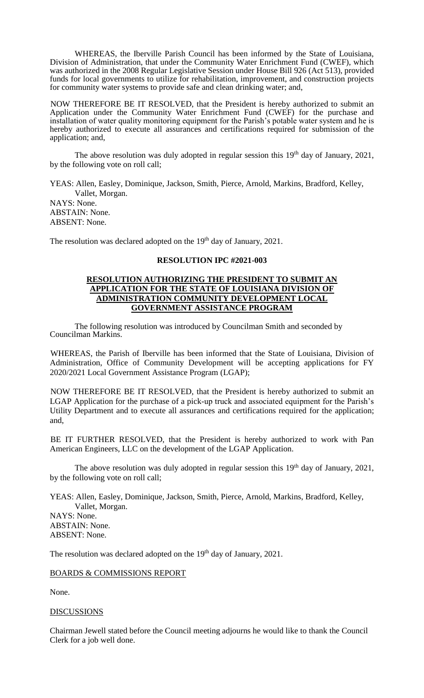WHEREAS, the Iberville Parish Council has been informed by the State of Louisiana, Division of Administration, that under the Community Water Enrichment Fund (CWEF), which was authorized in the 2008 Regular Legislative Session under House Bill 926 (Act 513), provided funds for local governments to utilize for rehabilitation, improvement, and construction projects for community water systems to provide safe and clean drinking water; and,

NOW THEREFORE BE IT RESOLVED, that the President is hereby authorized to submit an Application under the Community Water Enrichment Fund (CWEF) for the purchase and installation of water quality monitoring equipment for the Parish's potable water system and he is hereby authorized to execute all assurances and certifications required for submission of the application; and,

The above resolution was duly adopted in regular session this  $19<sup>th</sup>$  day of January, 2021, by the following vote on roll call;

YEAS: Allen, Easley, Dominique, Jackson, Smith, Pierce, Arnold, Markins, Bradford, Kelley, Vallet, Morgan. NAYS: None. ABSTAIN: None. ABSENT: None.

The resolution was declared adopted on the 19<sup>th</sup> day of January, 2021.

### **RESOLUTION IPC #2021-003**

### **RESOLUTION AUTHORIZING THE PRESIDENT TO SUBMIT AN APPLICATION FOR THE STATE OF LOUISIANA DIVISION OF ADMINISTRATION COMMUNITY DEVELOPMENT LOCAL GOVERNMENT ASSISTANCE PROGRAM**

The following resolution was introduced by Councilman Smith and seconded by Councilman Markins.

WHEREAS, the Parish of Iberville has been informed that the State of Louisiana, Division of Administration, Office of Community Development will be accepting applications for FY 2020/2021 Local Government Assistance Program (LGAP);

NOW THEREFORE BE IT RESOLVED, that the President is hereby authorized to submit an LGAP Application for the purchase of a pick-up truck and associated equipment for the Parish's Utility Department and to execute all assurances and certifications required for the application; and,

BE IT FURTHER RESOLVED, that the President is hereby authorized to work with Pan American Engineers, LLC on the development of the LGAP Application.

The above resolution was duly adopted in regular session this  $19<sup>th</sup>$  day of January, 2021, by the following vote on roll call;

YEAS: Allen, Easley, Dominique, Jackson, Smith, Pierce, Arnold, Markins, Bradford, Kelley, Vallet, Morgan.

NAYS: None. ABSTAIN: None. ABSENT: None.

The resolution was declared adopted on the 19<sup>th</sup> day of January, 2021.

# BOARDS & COMMISSIONS REPORT

None.

### DISCUSSIONS

Chairman Jewell stated before the Council meeting adjourns he would like to thank the Council Clerk for a job well done.